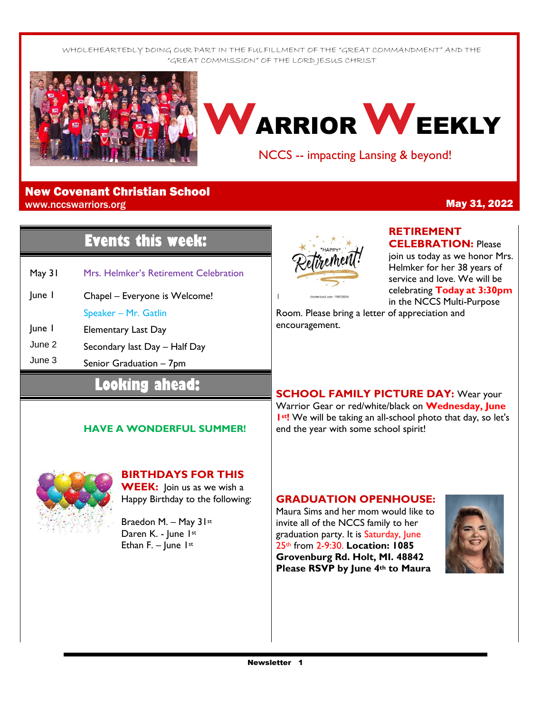WHOLEHEARTEDLY DOING OUR PART IN THE FULFILLMENT OF THE "GREAT COMMANDMENT" AND THE "GREAT COMMISSION" OF THE LORD JESUS CHRIST



# **W**ARRIOR**W**EEKLY

NCCS -- impacting Lansing & beyond!

#### New Covenant Christian School www.nccswarriors.org **May 31, 2022**

# **Events this week:**

- May 31 Mrs. Helmker's Retirement Celebration
- June 1 Chapel – Everyone is Welcome! Speaker – Mr. Gatlin
- June 1 Elementary Last Day
- June 2 Secondary last Day – Half Day
- June 3 Senior Graduation – 7pm

## **Looking ahead:**

#### **HAVE A WONDERFUL SUMMER!**



#### **BIRTHDAYS FOR THIS WEEK:** Join us as we wish a

Happy Birthday to the following:

Braedon M. – May 31st Daren K. - June 1st Ethan F. –  $|$ une  $|$ <sup>st</sup>



## **RETIREMENT**

**CELEBRATION:** Please join us today as we honor Mrs. Helmker for her 38 years of service and love. We will be celebrating **Today at 3:30pm**  in the NCCS Multi-Purpose

Room. Please bring a letter of appreciation and encouragement.

**SCHOOL FAMILY PICTURE DAY:** Wear your Warrior Gear or red/white/black on **Wednesday, June 1st!** We will be taking an all-school photo that day, so let's end the year with some school spirit!

### **GRADUATION OPENHOUSE:**

Maura Sims and her mom would like to invite all of the NCCS family to her graduation party. It is Saturday, June 25th from 2-9:30. **Location: 1085 Grovenburg Rd. Holt, MI. 48842 Please RSVP by June 4th to Maura**